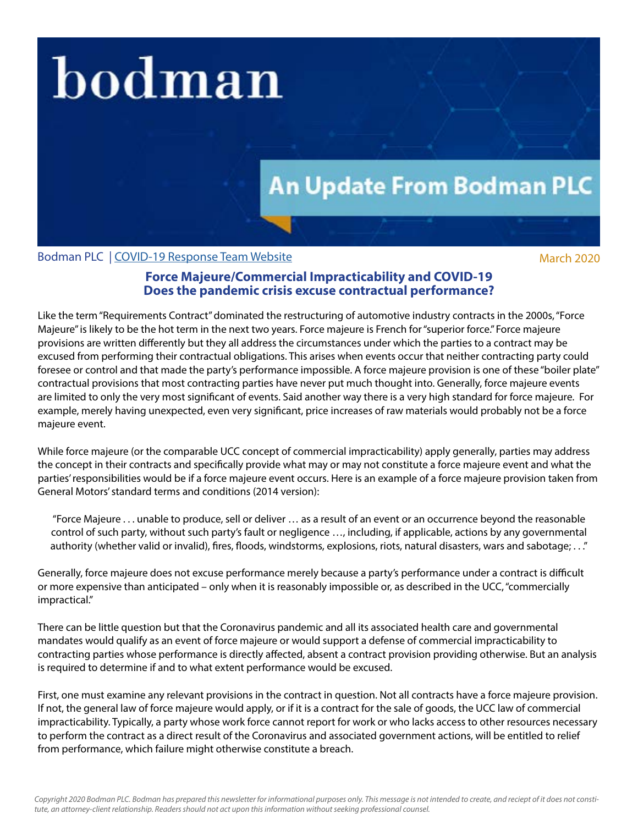## bodman

## **An Update From Bodman PLC**

Bodman PLC | [COVID-19 Response Team Website](http://www.bodmanlaw.com/practices/covid-19-response-team) March 2020

## **Force Majeure/Commercial Impracticability and COVID-19 Does the pandemic crisis excuse contractual performance?**

Like the term "Requirements Contract" dominated the restructuring of automotive industry contracts in the 2000s, "Force Majeure" is likely to be the hot term in the next two years. Force majeure is French for "superior force." Force majeure provisions are written differently but they all address the circumstances under which the parties to a contract may be excused from performing their contractual obligations. This arises when events occur that neither contracting party could foresee or control and that made the party's performance impossible. A force majeure provision is one of these "boiler plate" contractual provisions that most contracting parties have never put much thought into. Generally, force majeure events are limited to only the very most significant of events. Said another way there is a very high standard for force majeure. For example, merely having unexpected, even very significant, price increases of raw materials would probably not be a force majeure event.

While force majeure (or the comparable UCC concept of commercial impracticability) apply generally, parties may address the concept in their contracts and specifically provide what may or may not constitute a force majeure event and what the parties' responsibilities would be if a force majeure event occurs. Here is an example of a force majeure provision taken from General Motors' standard terms and conditions (2014 version):

"Force Majeure . . . unable to produce, sell or deliver … as a result of an event or an occurrence beyond the reasonable control of such party, without such party's fault or negligence …, including, if applicable, actions by any governmental authority (whether valid or invalid), fires, floods, windstorms, explosions, riots, natural disasters, wars and sabotage; . . ."

Generally, force majeure does not excuse performance merely because a party's performance under a contract is difficult or more expensive than anticipated – only when it is reasonably impossible or, as described in the UCC, "commercially impractical."

There can be little question but that the Coronavirus pandemic and all its associated health care and governmental mandates would qualify as an event of force majeure or would support a defense of commercial impracticability to contracting parties whose performance is directly affected, absent a contract provision providing otherwise. But an analysis is required to determine if and to what extent performance would be excused.

First, one must examine any relevant provisions in the contract in question. Not all contracts have a force majeure provision. If not, the general law of force majeure would apply, or if it is a contract for the sale of goods, the UCC law of commercial impracticability. Typically, a party whose work force cannot report for work or who lacks access to other resources necessary to perform the contract as a direct result of the Coronavirus and associated government actions, will be entitled to relief from performance, which failure might otherwise constitute a breach.